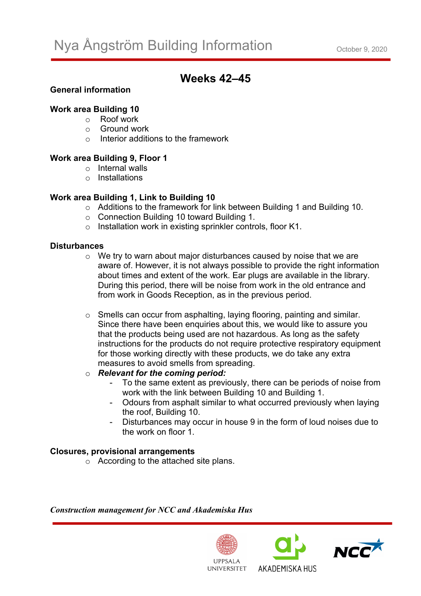# **Weeks 42–45**

## **General information**

#### **Work area Building 10**

- o Roof work
- $\circ$  Ground work
- o Interior additions to the framework

## **Work area Building 9, Floor 1**

- o Internal walls
- o Installations

## **Work area Building 1, Link to Building 10**

- o Additions to the framework for link between Building 1 and Building 10.
- o Connection Building 10 toward Building 1.
- o Installation work in existing sprinkler controls, floor K1.

### **Disturbances**

- $\circ$  We try to warn about major disturbances caused by noise that we are aware of. However, it is not always possible to provide the right information about times and extent of the work. Ear plugs are available in the library. During this period, there will be noise from work in the old entrance and from work in Goods Reception, as in the previous period.
- o Smells can occur from asphalting, laying flooring, painting and similar. Since there have been enquiries about this, we would like to assure you that the products being used are not hazardous. As long as the safety instructions for the products do not require protective respiratory equipment for those working directly with these products, we do take any extra measures to avoid smells from spreading.

#### o *Relevant for the coming period:*

- To the same extent as previously, there can be periods of noise from work with the link between Building 10 and Building 1.
- Odours from asphalt similar to what occurred previously when laying the roof, Building 10.
- Disturbances may occur in house 9 in the form of loud noises due to the work on floor 1.

#### **Closures, provisional arrangements**

o According to the attached site plans.

*Construction management for NCC and Akademiska Hus*